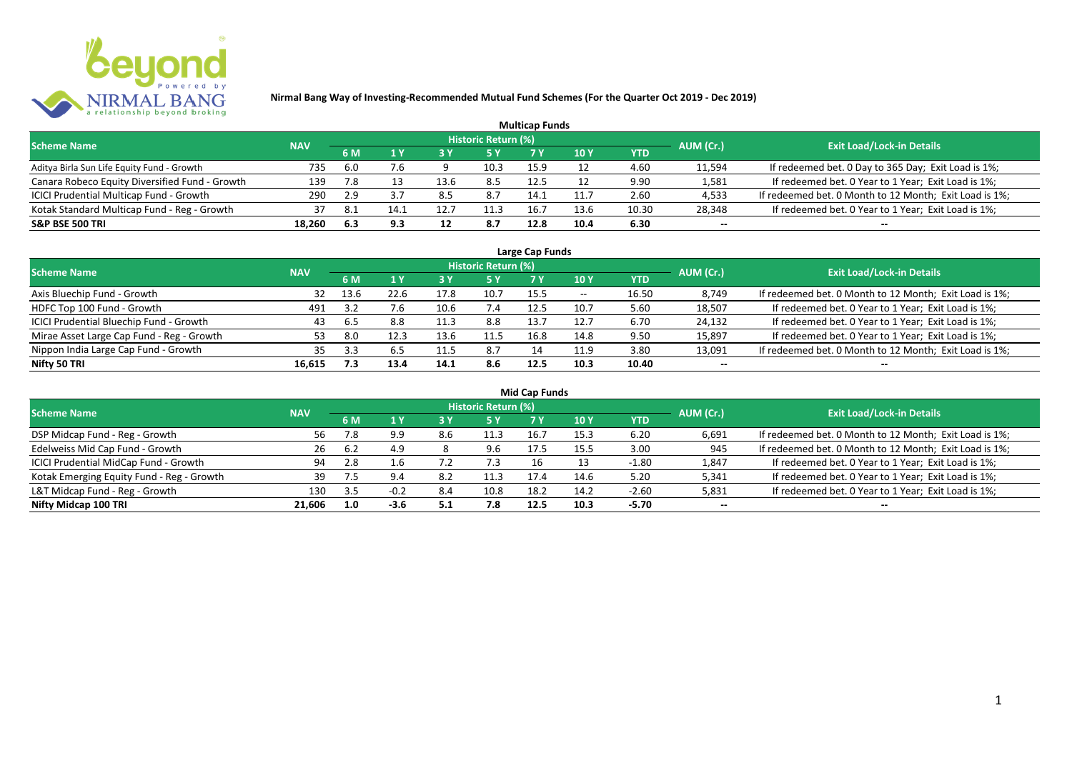

|                                                |            |     |      |      |                            | <b>Multicap Funds</b> |                 |            |           |                                                        |
|------------------------------------------------|------------|-----|------|------|----------------------------|-----------------------|-----------------|------------|-----------|--------------------------------------------------------|
| <b>Scheme Name</b>                             | <b>NAV</b> |     |      |      | <b>Historic Return (%)</b> |                       |                 |            | AUM (Cr.) | <b>Exit Load/Lock-in Details</b>                       |
|                                                |            | 6 M |      | 73 Y |                            |                       | 10 <sub>Y</sub> | <b>YTD</b> |           |                                                        |
| Aditya Birla Sun Life Equity Fund - Growth     | 735        | 6.0 |      |      | 10.3                       | 15.9                  |                 | 4.60       | 11,594    | If redeemed bet. 0 Day to 365 Day; Exit Load is 1%;    |
| Canara Robeco Equity Diversified Fund - Growth | 139        | 7.8 |      | 13.6 | 8.5                        | 12.5                  |                 | 9.90       | 1,581     | If redeemed bet. 0 Year to 1 Year; Exit Load is 1%;    |
| ICICI Prudential Multicap Fund - Growth        | 290        | 2.9 |      | 8.5  | 8.7                        | 14.1                  | 11.7            | 2.60       | 4,533     | If redeemed bet. 0 Month to 12 Month; Exit Load is 1%; |
| Kotak Standard Multicap Fund - Reg - Growth    | 37         | 8.1 | 14.1 | 12.7 | 11.3                       | 16.7                  | 13.6            | 10.30      | 28,348    | If redeemed bet. 0 Year to 1 Year; Exit Load is 1%;    |
| <b>S&amp;P BSE 500 TRI</b>                     | 18.260     | 6.3 | 9.3  | 12   | 8.7                        | 12.8                  | 10.4            | 6.30       | $- -$     | --                                                     |

| Large Cap Funds                           |            |      |      |      |                            |      |            |       |           |                                                        |  |  |  |
|-------------------------------------------|------------|------|------|------|----------------------------|------|------------|-------|-----------|--------------------------------------------------------|--|--|--|
| <b>Scheme Name</b>                        | <b>NAV</b> |      |      |      | <b>Historic Return (%)</b> |      |            |       | AUM (Cr.) | <b>Exit Load/Lock-in Details</b>                       |  |  |  |
|                                           |            | 6 M  |      |      | 5 Y                        |      | <b>10Y</b> | YTD   |           |                                                        |  |  |  |
| Axis Bluechip Fund - Growth               | 32         | 13.6 | 22.6 | 17.8 | 10.7                       | 15.5 | $- -$      | 16.50 | 8,749     | If redeemed bet. 0 Month to 12 Month; Exit Load is 1%; |  |  |  |
| HDFC Top 100 Fund - Growth                | 491        |      | 7.6  | 10.6 |                            | 12.5 | 10.7       | 5.60  | 18,507    | If redeemed bet. 0 Year to 1 Year; Exit Load is 1%;    |  |  |  |
| ICICI Prudential Bluechip Fund - Growth   | 43         | 6.5  | 8.8  | 11.3 | 8.8                        | 13.7 | 12.7       | 6.70  | 24,132    | If redeemed bet. 0 Year to 1 Year; Exit Load is 1%;    |  |  |  |
| Mirae Asset Large Cap Fund - Reg - Growth | 53.        | 8.0  | 12.3 | 13.6 | 11.5                       | 16.8 | 14.8       | 9.50  | 15,897    | If redeemed bet. 0 Year to 1 Year; Exit Load is 1%;    |  |  |  |
| Nippon India Large Cap Fund - Growth      | 35.        |      | 6.5  |      | 8.7                        |      | 11.9       | 3.80  | 13,091    | If redeemed bet. 0 Month to 12 Month; Exit Load is 1%; |  |  |  |
| Nifty 50 TRI                              | 16.615     | 7.3  | 13.4 | 14.1 | 8.6                        | 12.5 | 10.3       | 10.40 | $- -$     | $- -$                                                  |  |  |  |

| <b>Mid Cap Funds</b>                      |            |     |        |     |                            |      |      |            |           |                                                        |  |  |  |
|-------------------------------------------|------------|-----|--------|-----|----------------------------|------|------|------------|-----------|--------------------------------------------------------|--|--|--|
| <b>Scheme Name</b>                        | <b>NAV</b> |     |        |     | <b>Historic Return (%)</b> |      |      |            | AUM (Cr.) | <b>Exit Load/Lock-in Details</b>                       |  |  |  |
|                                           |            | 6 M |        |     | 5 Y                        | 7 Y  | 10 Y | <b>YTD</b> |           |                                                        |  |  |  |
| DSP Midcap Fund - Reg - Growth            | 56         |     | 9.9    | 8.6 | 11.3                       | 16.7 | 15.3 | 6.20       | 6,691     | If redeemed bet. 0 Month to 12 Month; Exit Load is 1%; |  |  |  |
| Edelweiss Mid Cap Fund - Growth           | 26         | 6.2 | 4.9    |     | 9.6                        | 17.5 | 15.5 | 3.00       | 945       | If redeemed bet. 0 Month to 12 Month; Exit Load is 1%; |  |  |  |
| ICICI Prudential MidCap Fund - Growth     | 94         |     | 1.6    |     | 7.3                        |      |      | $-1.80$    | 1,847     | If redeemed bet. 0 Year to 1 Year; Exit Load is 1%;    |  |  |  |
| Kotak Emerging Equity Fund - Reg - Growth | 39.        |     | 9.4    | 8.2 | 11.3                       | 17.4 | 14.6 | 5.20       | 5,341     | If redeemed bet. 0 Year to 1 Year; Exit Load is 1%;    |  |  |  |
| L&T Midcap Fund - Reg - Growth            | 130        | 3.5 | $-0.2$ | 8.4 | 10.8                       | 18.2 | 14.2 | $-2.60$    | 5,831     | If redeemed bet. 0 Year to 1 Year; Exit Load is 1%;    |  |  |  |
| Nifty Midcap 100 TRI                      | 21.606     | 1.0 | $-3.6$ | 5.1 | 7.8                        | 12.5 | 10.3 | -5.70      | $- -$     | $- -$                                                  |  |  |  |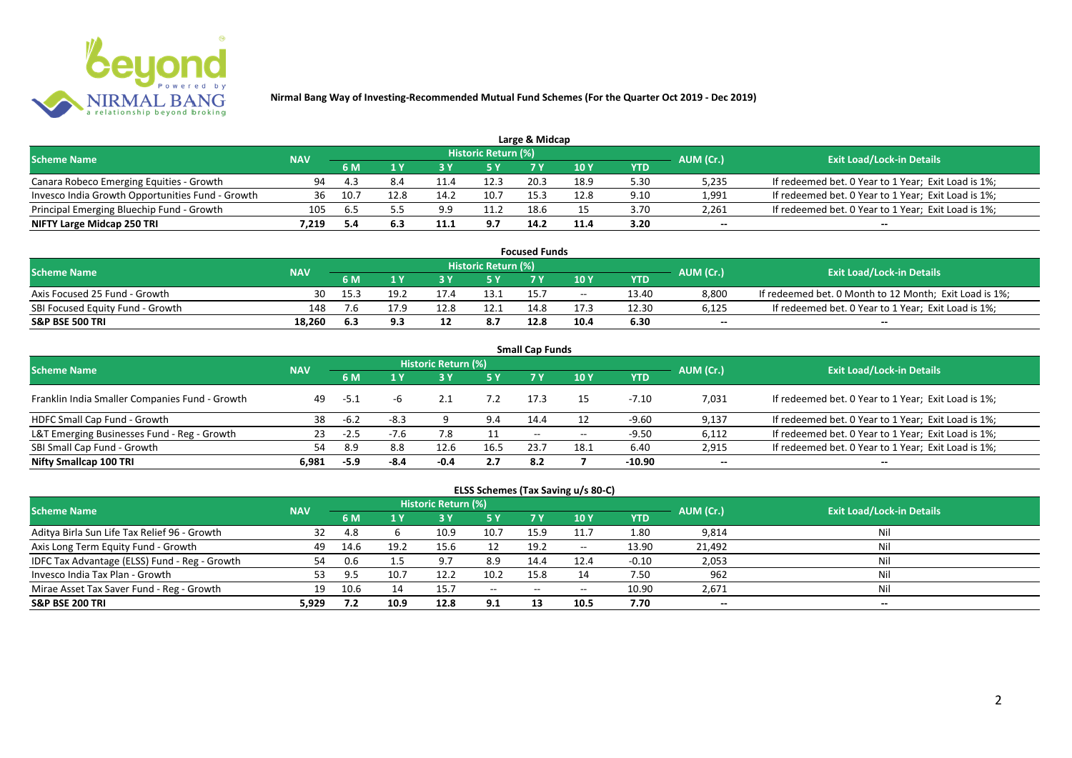

|                                                  |            |      |      |      |                            | Large & Midcap |               |      |           |                                                     |
|--------------------------------------------------|------------|------|------|------|----------------------------|----------------|---------------|------|-----------|-----------------------------------------------------|
| <b>Scheme Name</b>                               | <b>NAV</b> |      |      |      | <b>Historic Return (%)</b> |                |               |      | AUM (Cr.) | <b>Exit Load/Lock-in Details</b>                    |
|                                                  |            | 6 M  |      |      | 5 Y                        |                | $\sqrt{10}$ Y | YTD  |           |                                                     |
| Canara Robeco Emerging Equities - Growth         | 94         | 43   | 8.4  |      | 12.3                       | 20.3           | 18.9          | 5.30 | 5,235     | If redeemed bet. 0 Year to 1 Year; Exit Load is 1%; |
| Invesco India Growth Opportunities Fund - Growth | 36         | 10.7 | 12.8 | 14.2 | 10.7                       | 15.3           | 12.8          | 9.10 | 1,991     | If redeemed bet. 0 Year to 1 Year; Exit Load is 1%; |
| Principal Emerging Bluechip Fund - Growth        | 105        | 6.5  |      | 9.9  | 11.2                       | 18.6           |               | 3.70 | 2,261     | If redeemed bet. 0 Year to 1 Year; Exit Load is 1%; |
| NIFTY Large Midcap 250 TRI                       | 7.219      | 5.4  | 6.3  | 11.1 | 9.7                        | 14.2           | 11.4          | 3.20 | $-$       | $- -$                                               |

| <b>Focused Funds</b>             |            |      |      |      |                            |      |       |       |           |                                                        |  |  |
|----------------------------------|------------|------|------|------|----------------------------|------|-------|-------|-----------|--------------------------------------------------------|--|--|
| <b>Scheme Name</b>               | <b>NAV</b> |      |      |      | <b>Historic Return (%)</b> |      |       |       | AUM (Cr.) | <b>Exit Load/Lock-in Details</b>                       |  |  |
|                                  |            | 6 M  | 1 V  |      | 5 Y                        | 7 V  | 10 Y  | YTD   |           |                                                        |  |  |
| Axis Focused 25 Fund - Growth    | 30         | 15.3 | 19.2 |      | 13.1                       |      | $- -$ | 13.40 | 8.800     | If redeemed bet. 0 Month to 12 Month; Exit Load is 1%; |  |  |
| SBI Focused Equity Fund - Growth | 148        | ۵.י  | 17.9 | 12.8 | 12.1                       | 14.8 |       | 12.30 | 6,125     | If redeemed bet. 0 Year to 1 Year; Exit Load is 1%;    |  |  |
| <b>S&amp;P BSE 500 TRI</b>       | 18.260     | 6.3  | 9.3  |      | 8.7                        | 12.8 | 10.4  | 6.30  | $- -$     | $- -$                                                  |  |  |

| <b>Small Cap Funds</b>                         |            |        |        |                            |      |                          |       |            |           |                                                     |  |  |  |
|------------------------------------------------|------------|--------|--------|----------------------------|------|--------------------------|-------|------------|-----------|-----------------------------------------------------|--|--|--|
| <b>Scheme Name</b>                             | <b>NAV</b> |        |        | <b>Historic Return (%)</b> |      |                          |       |            | AUM (Cr.) | <b>Exit Load/Lock-in Details</b>                    |  |  |  |
|                                                |            | 6 M    |        |                            | 5 Y  | 7V                       | 10Y   | <b>YTD</b> |           |                                                     |  |  |  |
| Franklin India Smaller Companies Fund - Growth | 49         | $-5.1$ |        |                            |      | 17.3                     | 15    | $-7.10$    | 7,031     | If redeemed bet. 0 Year to 1 Year; Exit Load is 1%; |  |  |  |
| HDFC Small Cap Fund - Growth                   | 38         | $-6.2$ | $-8.3$ |                            | 9.4  | 14.4                     |       | -9.60      | 9,137     | If redeemed bet. 0 Year to 1 Year; Exit Load is 1%; |  |  |  |
| L&T Emerging Businesses Fund - Reg - Growth    | 23         | $-2.5$ | $-7.6$ |                            |      | $\overline{\phantom{a}}$ | $- -$ | $-9.50$    | 6,112     | If redeemed bet. 0 Year to 1 Year; Exit Load is 1%; |  |  |  |
| SBI Small Cap Fund - Growth                    |            | 8.9    | 8.8    | 12.6                       | 16.5 | 23.7                     | 18.1  | 6.40       | 2,915     | If redeemed bet. 0 Year to 1 Year; Exit Load is 1%; |  |  |  |
| Nifty Smallcap 100 TRI                         | 6.981      | $-5.9$ | -8.4   | $-0.4$                     | 2.7  | 8.2                      |       | $-10.90$   | $- -$     | $- -$                                               |  |  |  |

## **ELSS Schemes (Tax Saving u/s 80-C)**

| <b>Scheme Name</b>                            | <b>NAV</b> |             |      | <b>Historic Return (%)</b> |              |       |            |         | AUM (Cr.) | <b>Exit Load/Lock-in Details</b> |
|-----------------------------------------------|------------|-------------|------|----------------------------|--------------|-------|------------|---------|-----------|----------------------------------|
|                                               |            | 6 M         |      |                            | <b>5Y</b>    | 7 V   | <b>10Y</b> | YTD     |           |                                  |
| Aditya Birla Sun Life Tax Relief 96 - Growth  | 32         | -4.8        |      | 10.9                       | 10.7         | 15.9  | 11.7       | 1.80    | 9,814     | Nil                              |
| Axis Long Term Equity Fund - Growth           | 49         | 14.6        | 19.2 | 15.6                       | 12           | 19.2  | $- -$      | 13.90   | 21,492    | Nil                              |
| IDFC Tax Advantage (ELSS) Fund - Reg - Growth | 54         | 0.6         |      | 9.7                        | 8.9          | 14.4  | 12.4       | $-0.10$ | 2,053     | Nil                              |
| Invesco India Tax Plan - Growth               |            | $Q$ $\zeta$ | 10.7 | 12.2                       | 10.2         | 15.8  |            | 7.50    | 962       | Nil                              |
| Mirae Asset Tax Saver Fund - Reg - Growth     | 19         | 10.6        | 14   | 15.7                       | $-$ – $\sim$ | $- -$ | $- -$      | 10.90   | 2,671     | Nil                              |
| <b>S&amp;P BSE 200 TRI</b>                    | 5.929      | 7.2         | 10.9 | 12.8                       | 9.1          |       | 10.5       | 7.70    | $- -$     | $- -$                            |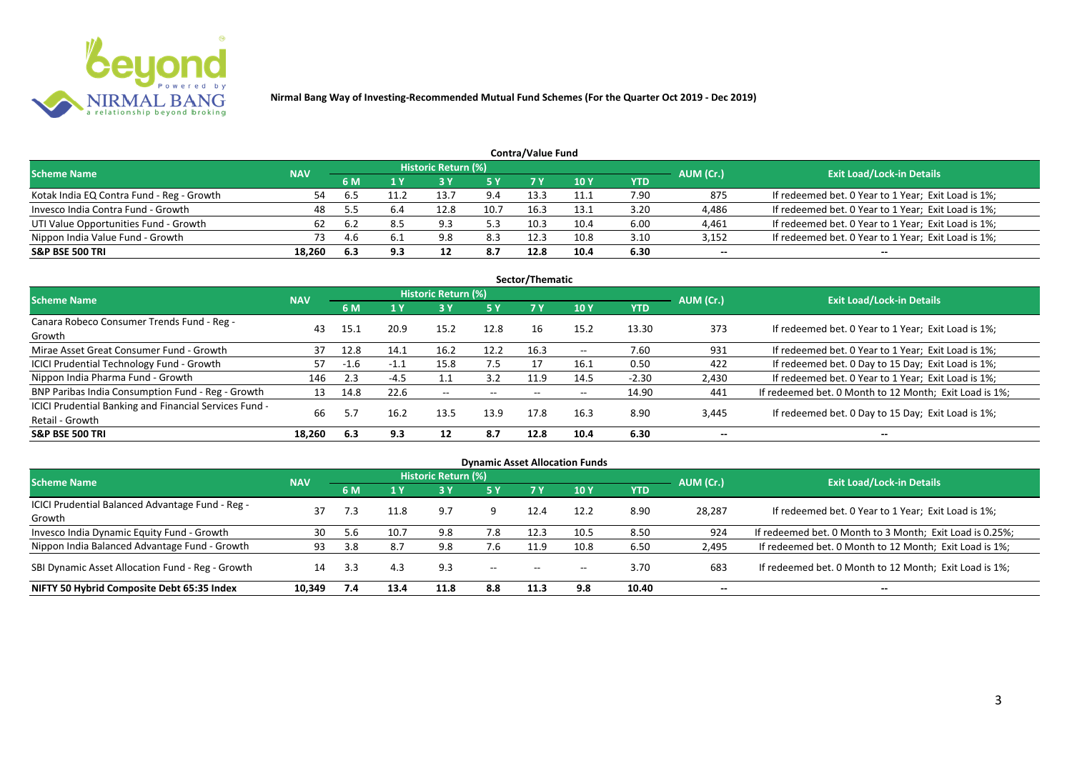

|                                           |            |     |      |                     |      | <b>Contra/Value Fund</b> |      |            |           |                                                     |
|-------------------------------------------|------------|-----|------|---------------------|------|--------------------------|------|------------|-----------|-----------------------------------------------------|
| <b>Scheme Name</b>                        | <b>NAV</b> |     |      | Historic Return (%) |      |                          |      |            | AUM (Cr.) | <b>Exit Load/Lock-in Details</b>                    |
|                                           |            | 6 M |      |                     | 5 Y  |                          | 10Y  | <b>YTD</b> |           |                                                     |
| Kotak India EQ Contra Fund - Reg - Growth | 54         |     | 11.2 | 13.7                | 9.4  | 13.3                     | 11.1 | 7.90       | 875       | If redeemed bet. 0 Year to 1 Year; Exit Load is 1%; |
| Invesco India Contra Fund - Growth        | 48         | 5.5 | b.4  | 12.8                | 10.7 | 16.3                     | 13.1 | 3.20       | 4,486     | If redeemed bet. 0 Year to 1 Year; Exit Load is 1%; |
| UTI Value Opportunities Fund - Growth     | 62         | 6.2 | 8.5  | 9.3                 | 5.3  | 10.3                     | 10.4 | 6.00       | 4,461     | If redeemed bet. 0 Year to 1 Year; Exit Load is 1%; |
| Nippon India Value Fund - Growth          | 73         |     | 6.1  | 9.8                 | 8.3  | 12.3                     | 10.8 | 3.10       | 3,152     | If redeemed bet. 0 Year to 1 Year; Exit Load is 1%; |
| <b>S&amp;P BSE 500 TRI</b>                | 18.260     | 6.3 | 9.3  | ᅭ                   | 8.7  | 12.8                     | 10.4 | 6.30       | $- -$     | $-$                                                 |

| Sector/Thematic                                                           |            |        |        |                            |           |      |            |            |           |                                                        |  |  |  |  |
|---------------------------------------------------------------------------|------------|--------|--------|----------------------------|-----------|------|------------|------------|-----------|--------------------------------------------------------|--|--|--|--|
| Scheme Name                                                               | <b>NAV</b> |        |        | <b>Historic Return (%)</b> |           |      |            |            | AUM (Cr.) | <b>Exit Load/Lock-in Details</b>                       |  |  |  |  |
|                                                                           |            | 6 M    | 1Y     | <b>3 Y</b>                 | <b>5Y</b> | 7 Y  | <b>10Y</b> | <b>YTD</b> |           |                                                        |  |  |  |  |
| Canara Robeco Consumer Trends Fund - Reg -<br>Growth                      | 43         | 15.1   | 20.9   | 15.2                       | 12.8      | 16   | 15.2       | 13.30      | 373       | If redeemed bet. 0 Year to 1 Year; Exit Load is 1%;    |  |  |  |  |
| Mirae Asset Great Consumer Fund - Growth                                  | 37         | 12.8   | 14.1   | 16.2                       | 12.2      | 16.3 | $- -$      | 7.60       | 931       | If redeemed bet. 0 Year to 1 Year; Exit Load is 1%;    |  |  |  |  |
| <b>ICICI Prudential Technology Fund - Growth</b>                          | 57         | $-1.6$ | $-1.1$ | 15.8                       | 7.5       | 17   | 16.1       | 0.50       | 422       | If redeemed bet. 0 Day to 15 Day; Exit Load is 1%;     |  |  |  |  |
| Nippon India Pharma Fund - Growth                                         | 146        | 2.3    | $-4.5$ | 1.1                        | 3.2       | 11.9 | 14.5       | $-2.30$    | 2,430     | If redeemed bet. 0 Year to 1 Year; Exit Load is 1%;    |  |  |  |  |
| BNP Paribas India Consumption Fund - Reg - Growth                         | 13         | 14.8   | 22.6   | $- -$                      | $- -$     | $-$  | $- -$      | 14.90      | 441       | If redeemed bet. 0 Month to 12 Month; Exit Load is 1%; |  |  |  |  |
| ICICI Prudential Banking and Financial Services Fund -<br>Retail - Growth | 66         | 5.7    | 16.2   | 13.5                       | 13.9      | 17.8 | 16.3       | 8.90       | 3,445     | If redeemed bet. 0 Day to 15 Day; Exit Load is 1%;     |  |  |  |  |
| <b>S&amp;P BSE 500 TRI</b>                                                | 18.260     | 6.3    | 9.3    | 12                         | 8.7       | 12.8 | 10.4       | 6.30       | --        | --                                                     |  |  |  |  |

| <b>Dynamic Asset Allocation Funds</b>                      |            |           |      |                            |                          |                          |                          |            |           |                                                          |  |  |  |
|------------------------------------------------------------|------------|-----------|------|----------------------------|--------------------------|--------------------------|--------------------------|------------|-----------|----------------------------------------------------------|--|--|--|
| Scheme Name                                                | <b>NAV</b> |           |      | <b>Historic Return (%)</b> |                          |                          |                          |            |           | <b>Exit Load/Lock-in Details</b>                         |  |  |  |
|                                                            |            | <b>6M</b> | 1 Y  | 3 Y                        | 5 Y                      | <b>7Y</b>                | <b>10Y</b>               | <b>YTD</b> | AUM (Cr.) |                                                          |  |  |  |
| ICICI Prudential Balanced Advantage Fund - Reg -<br>Growth | 37         | 7.3       | 11.8 | 9.7                        |                          | 12.4                     | 12.2                     | 8.90       | 28,287    | If redeemed bet. 0 Year to 1 Year; Exit Load is 1%;      |  |  |  |
| Invesco India Dynamic Equity Fund - Growth                 | 30         | 5.6       | 10.7 | 9.8                        | 7.8                      | 12.3                     | 10.5                     | 8.50       | 924       | If redeemed bet. 0 Month to 3 Month; Exit Load is 0.25%; |  |  |  |
| Nippon India Balanced Advantage Fund - Growth              | 93         | 3.8       |      | 9.8                        | 7.6                      | 11.9                     | 10.8                     | 6.50       | 2,495     | If redeemed bet. 0 Month to 12 Month; Exit Load is 1%;   |  |  |  |
| SBI Dynamic Asset Allocation Fund - Reg - Growth           | 14         | 3.3       | 4.3  | 9.3                        | $\overline{\phantom{a}}$ | $\overline{\phantom{a}}$ | $\overline{\phantom{a}}$ | 3.70       | 683       | If redeemed bet. 0 Month to 12 Month; Exit Load is 1%;   |  |  |  |
| NIFTY 50 Hybrid Composite Debt 65:35 Index                 | 10,349     | 7.4       | 13.4 | 11.8                       | 8.8                      | 11.3                     | 9.8                      | 10.40      | $- -$     | $- -$                                                    |  |  |  |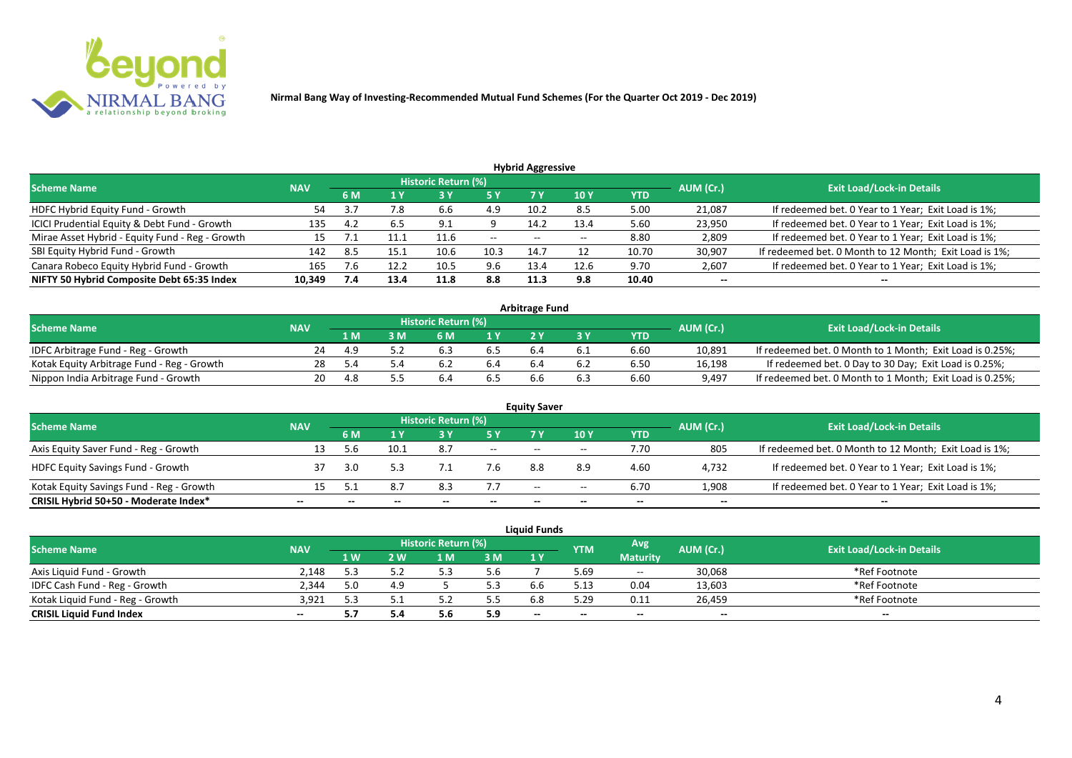

| <b>Hybrid Aggressive</b>                        |            |     |      |                            |           |                          |                 |            |           |                                                        |  |  |  |  |
|-------------------------------------------------|------------|-----|------|----------------------------|-----------|--------------------------|-----------------|------------|-----------|--------------------------------------------------------|--|--|--|--|
| <b>Scheme Name</b>                              | <b>NAV</b> |     |      | <b>Historic Return (%)</b> |           |                          |                 |            | AUM (Cr.) | <b>Exit Load/Lock-in Details</b>                       |  |  |  |  |
|                                                 |            | 6 M | 1 Y  | <b>3 Y</b>                 | <b>5Y</b> | 7 Y                      | 10 <sub>Y</sub> | <b>YTD</b> |           |                                                        |  |  |  |  |
| HDFC Hybrid Equity Fund - Growth                | 54         | ن 5 | 7.8  | b.b                        | 4.9       | 10.2                     | 8.5             | 5.00       | 21,087    | If redeemed bet. 0 Year to 1 Year; Exit Load is 1%;    |  |  |  |  |
| ICICI Prudential Equity & Debt Fund - Growth    | 135        | 4.2 | 6.5  | 9.1                        |           | 14.2                     | 13.4            | 5.60       | 23,950    | If redeemed bet. 0 Year to 1 Year; Exit Load is 1%;    |  |  |  |  |
| Mirae Asset Hybrid - Equity Fund - Reg - Growth | 15         |     |      | 11.6                       | $- -$     | $\overline{\phantom{a}}$ |                 | 8.80       | 2,809     | If redeemed bet. 0 Year to 1 Year; Exit Load is 1%;    |  |  |  |  |
| SBI Equity Hybrid Fund - Growth                 | 142        | 8.5 | 15.1 | 10.6                       | 10.3      | 14.7                     |                 | 10.70      | 30,907    | If redeemed bet. 0 Month to 12 Month; Exit Load is 1%; |  |  |  |  |
| Canara Robeco Equity Hybrid Fund - Growth       | 165        |     | 12.2 | 10.5                       | 9.6       | 13.4                     | 12.6            | 9.70       | 2,607     | If redeemed bet. 0 Year to 1 Year; Exit Load is 1%;    |  |  |  |  |
| NIFTY 50 Hybrid Composite Debt 65:35 Index      | 10,349     | 7.4 | 13.4 | 11.8                       | 8.8       | 11.3                     | 9.8             | 10.40      | $- -$     | --                                                     |  |  |  |  |

| <b>Arbitrage Fund</b>                      |            |     |   |                            |     |  |  |            |           |                                                          |  |  |  |
|--------------------------------------------|------------|-----|---|----------------------------|-----|--|--|------------|-----------|----------------------------------------------------------|--|--|--|
| <b>Scheme Name</b>                         | <b>NAV</b> |     |   | <b>Historic Return (%)</b> |     |  |  |            | AUM (Cr.) | <b>Exit Load/Lock-in Details</b>                         |  |  |  |
|                                            |            | 1 M | M | ና M                        | 1 V |  |  | <b>YTD</b> |           |                                                          |  |  |  |
| IDFC Arbitrage Fund - Reg - Growth         | 24         |     |   |                            |     |  |  | 6.60       | 10,891    | If redeemed bet. 0 Month to 1 Month; Exit Load is 0.25%; |  |  |  |
| Kotak Equity Arbitrage Fund - Reg - Growth | 28         |     |   |                            |     |  |  | 6.50       | 16,198    | If redeemed bet. 0 Day to 30 Day; Exit Load is 0.25%;    |  |  |  |
| Nippon India Arbitrage Fund - Growth       | າດ_        |     |   |                            |     |  |  | 6.60       | 9,497     | If redeemed bet. 0 Month to 1 Month; Exit Load is 0.25%; |  |  |  |

| <b>Equity Saver</b>                      |            |     |      |                     |                                       |                          |       |      |       |                                                        |  |  |  |
|------------------------------------------|------------|-----|------|---------------------|---------------------------------------|--------------------------|-------|------|-------|--------------------------------------------------------|--|--|--|
| <b>Scheme Name</b>                       | <b>NAV</b> |     |      | Historic Return (%) |                                       |                          |       |      |       | <b>Exit Load/Lock-in Details</b>                       |  |  |  |
|                                          |            | 6 M |      |                     | AUM (Cr.)<br>10Y<br>7 V<br><b>YTD</b> |                          |       |      |       |                                                        |  |  |  |
| Axis Equity Saver Fund - Reg - Growth    |            | 5.6 | 10.1 | 8.7                 | $ -$                                  | $- -$                    | $-$   | 7.70 | 805   | If redeemed bet. 0 Month to 12 Month; Exit Load is 1%; |  |  |  |
| <b>HDFC Equity Savings Fund - Growth</b> |            | 3.0 |      |                     | 7.6                                   | 8.8                      | 8.9   | 4.60 | 4,732 | If redeemed bet. 0 Year to 1 Year; Exit Load is 1%;    |  |  |  |
| Kotak Equity Savings Fund - Reg - Growth |            |     | 8.7  | 8.3                 | 7.7                                   | $\overline{\phantom{a}}$ | $- -$ | 6.70 | 1,908 | If redeemed bet. 0 Year to 1 Year; Exit Load is 1%;    |  |  |  |
| CRISIL Hybrid 50+50 - Moderate Index*    |            |     |      |                     | $- -$                                 |                          | --    |      | $- -$ |                                                        |  |  |  |

| <b>Liquid Funds</b>              |            |            |     |                     |     |     |            |                 |           |                                  |  |  |  |
|----------------------------------|------------|------------|-----|---------------------|-----|-----|------------|-----------------|-----------|----------------------------------|--|--|--|
| <b>Scheme Name</b>               | <b>NAV</b> |            |     | Historic Return (%) |     |     | <b>YTM</b> | Avg             | AUM (Cr.) | <b>Exit Load/Lock-in Details</b> |  |  |  |
|                                  |            | <b>1 W</b> | 2 W | 1 M                 | 3M  | 1 Y |            | <b>Maturity</b> |           |                                  |  |  |  |
| Axis Liquid Fund - Growth        | 2.148      | 5.3        |     |                     | 5.6 |     | 5.69       | $\sim$          | 30,068    | *Ref Footnote                    |  |  |  |
| IDFC Cash Fund - Reg - Growth    | 2.344      |            |     |                     | 5.3 |     | 5.13       | 0.04            | 13,603    | *Ref Footnote                    |  |  |  |
| Kotak Liquid Fund - Reg - Growth | 3.921      | 53         |     |                     | 5.5 |     | 5.29       | 0.11            | 26,459    | *Ref Footnote                    |  |  |  |
| <b>CRISIL Liquid Fund Index</b>  | $- -$      | 5.7        |     | J.U                 | 5.9 | $-$ | --         | $- -$           | $- -$     | $- -$                            |  |  |  |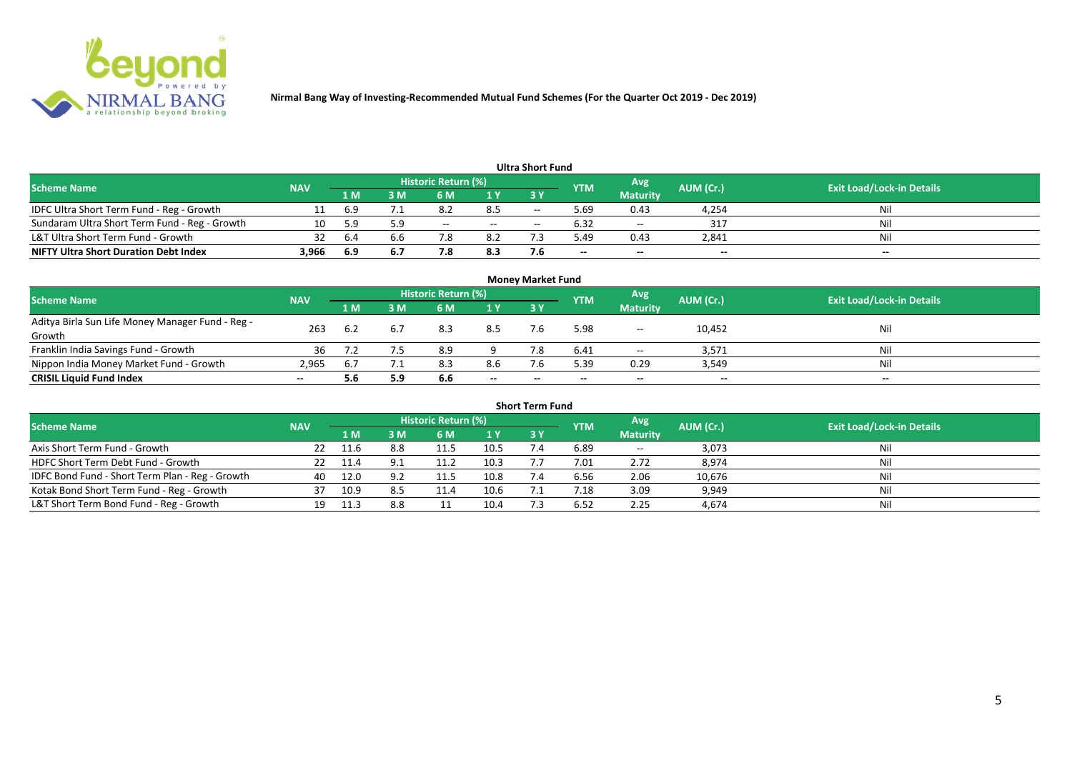

| <b>Ultra Short Fund</b>                       |            |     |                                                              |       |        |                                  |       |                 |       |       |  |  |  |
|-----------------------------------------------|------------|-----|--------------------------------------------------------------|-------|--------|----------------------------------|-------|-----------------|-------|-------|--|--|--|
| <b>Scheme Name</b>                            | <b>NAV</b> |     | <b>Historic Return (%)</b><br>Avg<br>AUM (Cr.)<br><b>YTM</b> |       |        | <b>Exit Load/Lock-in Details</b> |       |                 |       |       |  |  |  |
|                                               |            | 1 M | I M                                                          | 6 M   | 1 Y    | 3 Y                              |       | <b>Maturity</b> |       |       |  |  |  |
| IDFC Ultra Short Term Fund - Reg - Growth     |            | 6.9 |                                                              | 8.2   | 8.5    | $- -$                            | 5.69  | 0.43            | 4,254 | Nil   |  |  |  |
| Sundaram Ultra Short Term Fund - Reg - Growth | 10         | 5.9 | 5.9                                                          | $- -$ | $  \,$ | $\overline{\phantom{a}}$         | 6.32  | $- -$           | 317   | Nil   |  |  |  |
| L&T Ultra Short Term Fund - Growth            | 32         | 6.4 | b.b                                                          | 7.8   | 8.2    |                                  | 5.49  | 0.43            | 2,841 | Nil   |  |  |  |
| <b>NIFTY Ultra Short Duration Debt Index</b>  | 3,966      | 6.9 | 6.7                                                          | 7.8   | 8.3    |                                  | $- -$ | $- -$           | $- -$ | $- -$ |  |  |  |

| <b>Money Market Fund</b>                                   |            |      |     |                     |       |       |            |                 |           |                                  |  |  |  |
|------------------------------------------------------------|------------|------|-----|---------------------|-------|-------|------------|-----------------|-----------|----------------------------------|--|--|--|
| <b>Scheme Name</b>                                         | <b>NAV</b> |      |     | Historic Return (%) |       |       | <b>YTM</b> | Avg             | AUM (Cr.) | <b>Exit Load/Lock-in Details</b> |  |  |  |
|                                                            |            | '1 M | M   | 6 M                 | 1Y    | 3 Y   |            | <b>Maturity</b> |           |                                  |  |  |  |
| Aditya Birla Sun Life Money Manager Fund - Reg -<br>Growth | 263        |      | 6.7 | 8.3                 | 8.5   |       | 5.98       | $- -$           | 10,452    | Nil                              |  |  |  |
| Franklin India Savings Fund - Growth                       | 36         |      |     | 8.9                 |       |       | 6.41       | $- -$           | 3,571     | Nil                              |  |  |  |
| Nippon India Money Market Fund - Growth                    | 2,965      |      |     | 8.3                 | 8.6   |       | 5.39       | 0.29            | 3,549     | Nil                              |  |  |  |
| <b>CRISIL Liquid Fund Index</b>                            | $- -$      | 5.6  | 5.9 | 6.6                 | $- -$ | $- -$ | $- -$      | $- -$           | $- -$     | $- -$                            |  |  |  |

| <b>Short Term Fund</b>                          |            |      |     |                     |      |           |                |                 |           |                                  |  |  |  |
|-------------------------------------------------|------------|------|-----|---------------------|------|-----------|----------------|-----------------|-----------|----------------------------------|--|--|--|
| <b>Scheme Name</b>                              | <b>NAV</b> |      |     | Historic Return (%) |      |           | <b>YTM</b>     | Avg             | AUM (Cr.) | <b>Exit Load/Lock-in Details</b> |  |  |  |
|                                                 |            | 1 M. | 3 M | 6 M                 | 1Y   | <b>3Y</b> |                | <b>Maturity</b> |           |                                  |  |  |  |
| Axis Short Term Fund - Growth                   | 22         | 11.6 | 8.8 | 11.5                | 10.5 |           | 6.89           | $\sim$ $\sim$   | 3,073     | Nil                              |  |  |  |
| HDFC Short Term Debt Fund - Growth              | 22         | 11.4 | 9.1 | 11.2                | 10.3 |           | 7.01           | 2.72            | 8,974     | Nil                              |  |  |  |
| IDFC Bond Fund - Short Term Plan - Reg - Growth | 40         | 12.0 | 9.2 | 11.5                | 10.8 |           | 6.56           | 2.06            | 10,676    | Nil                              |  |  |  |
| Kotak Bond Short Term Fund - Reg - Growth       |            | 10.9 | 8.5 | 11.4                | 10.6 |           | $^{\prime}.18$ | 3.09            | 9,949     | Nil                              |  |  |  |
| L&T Short Term Bond Fund - Reg - Growth         | 19         | 11.3 | 8.8 |                     | 10.4 |           | 6.52           | 2.25            | 4,674     | Nil                              |  |  |  |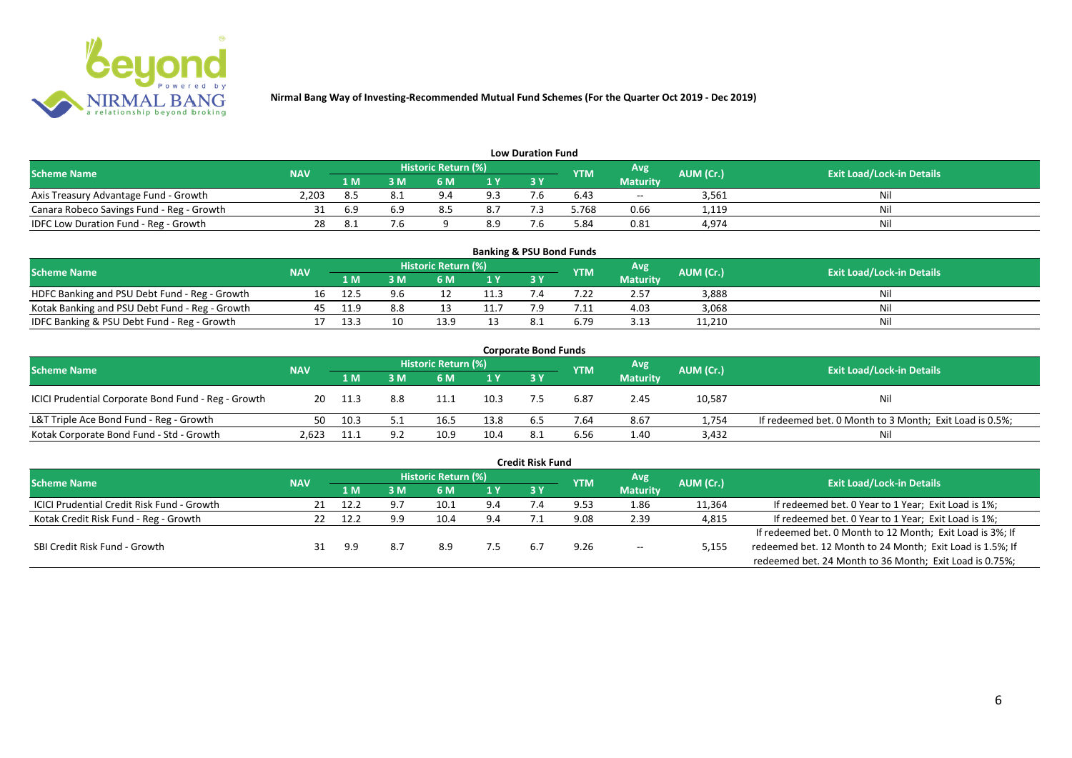

| <b>Low Duration Fund</b>                  |            |     |     |                            |     |     |            |                 |           |                                  |  |  |  |  |
|-------------------------------------------|------------|-----|-----|----------------------------|-----|-----|------------|-----------------|-----------|----------------------------------|--|--|--|--|
| <b>Scheme Name</b>                        | <b>NAV</b> |     |     | <b>Historic Return (%)</b> |     |     | <b>YTM</b> | Avg             | AUM (Cr.) | <b>Exit Load/Lock-in Details</b> |  |  |  |  |
|                                           |            | 1 M | 3 M |                            | 1Y  | 3Y  |            | <b>Maturity</b> |           |                                  |  |  |  |  |
| Axis Treasury Advantage Fund - Growth     | 2.203      | 8.5 |     | $Q \Lambda$                | 9.3 | - - | 6.43       | $- -$           | 3,561     | Ni                               |  |  |  |  |
| Canara Robeco Savings Fund - Reg - Growth |            | 6.9 |     |                            | 8.7 |     | 5.768      | 0.66            | 1,119     | Nil                              |  |  |  |  |
| IDFC Low Duration Fund - Reg - Growth     |            |     |     |                            | 8.9 |     | 5.84       | 0.81            | 4,974     | Nil                              |  |  |  |  |

| <b>Banking &amp; PSU Bond Funds</b>            |            |      |     |                            |      |            |            |                 |           |                                  |  |  |  |
|------------------------------------------------|------------|------|-----|----------------------------|------|------------|------------|-----------------|-----------|----------------------------------|--|--|--|
| <b>Scheme Name</b>                             | <b>NAV</b> |      |     | <b>Historic Return (%)</b> |      |            | <b>YTM</b> | Avg             | AUM (Cr.) | <b>Exit Load/Lock-in Details</b> |  |  |  |
|                                                |            | 1 M  |     | 6 M                        |      | <b>3 Y</b> |            | <b>Maturity</b> |           |                                  |  |  |  |
| HDFC Banking and PSU Debt Fund - Reg - Growth  | 16         | 12.5 | 9.6 |                            | 11.3 |            |            | 2.57            | 3,888     | Nil                              |  |  |  |
| Kotak Banking and PSU Debt Fund - Reg - Growth | 45         | 11.9 | 8.8 |                            |      |            |            | 4.03            | 3,068     | Nil                              |  |  |  |
| IDFC Banking & PSU Debt Fund - Reg - Growth    |            | 13.3 | 10  | 13.9                       |      |            | 6.79       | 3.13            | 11,210    | Nil                              |  |  |  |

| <b>Corporate Bond Funds</b>                         |            |      |     |                            |                |     |      |                 |           |                                                         |  |  |  |
|-----------------------------------------------------|------------|------|-----|----------------------------|----------------|-----|------|-----------------|-----------|---------------------------------------------------------|--|--|--|
| <b>Scheme Name</b>                                  | <b>NAV</b> |      |     | <b>Historic Return (%)</b> |                |     | YTM  | Avg             | AUM (Cr.) | <b>Exit Load/Lock-in Details</b>                        |  |  |  |
|                                                     |            | 1 M  | : M | 6 M                        | 1 <sup>Y</sup> | 3 Y |      | <b>Maturity</b> |           |                                                         |  |  |  |
| ICICI Prudential Corporate Bond Fund - Reg - Growth | 20         | 11.3 | 8.8 | 11.1                       | 10.3           |     | 6.87 | 2.45            | 10,587    | <b>Nil</b>                                              |  |  |  |
| L&T Triple Ace Bond Fund - Reg - Growth             | 50         | 10.3 |     | 16.5                       | 13.8           |     | 7.64 | 8.67            | 1,754     | If redeemed bet. 0 Month to 3 Month; Exit Load is 0.5%; |  |  |  |
| Kotak Corporate Bond Fund - Std - Growth            | 2.623      |      |     | 10.9                       | 10.4           | 8.1 | 6.56 | 1.40            | 3,432     | Nil                                                     |  |  |  |

|                                                   |            |      |     |                            |     | <b>Credit Risk Fund</b> |            |                 |           |                                                           |
|---------------------------------------------------|------------|------|-----|----------------------------|-----|-------------------------|------------|-----------------|-----------|-----------------------------------------------------------|
| <b>Scheme Name</b>                                | <b>NAV</b> |      |     | <b>Historic Return (%)</b> |     |                         | <b>YTM</b> | Avg             | AUM (Cr.) | <b>Exit Load/Lock-in Details</b>                          |
|                                                   |            | 1 M. | I M | 6 M                        | 1 Y | 3 Y                     |            | <b>Maturity</b> |           |                                                           |
| <b>ICICI Prudential Credit Risk Fund - Growth</b> | 21         | 12.2 | 9.7 | 10.1                       | 9.4 |                         | 9.53       | 1.86            | 11,364    | If redeemed bet. 0 Year to 1 Year; Exit Load is 1%;       |
| Kotak Credit Risk Fund - Reg - Growth             |            | 12.2 | 9.9 | 10.4                       | 9.4 |                         | 9.08       | 2.39            | 4,815     | If redeemed bet. 0 Year to 1 Year; Exit Load is 1%;       |
|                                                   |            |      |     |                            |     |                         |            |                 |           | If redeemed bet. 0 Month to 12 Month; Exit Load is 3%; If |
| SBI Credit Risk Fund - Growth                     |            | 9.9  | 8.7 | 8.9                        |     |                         | 9.26       | $- -$           | 5,155     | redeemed bet. 12 Month to 24 Month; Exit Load is 1.5%; If |
|                                                   |            |      |     |                            |     |                         |            |                 |           | redeemed bet. 24 Month to 36 Month; Exit Load is 0.75%;   |